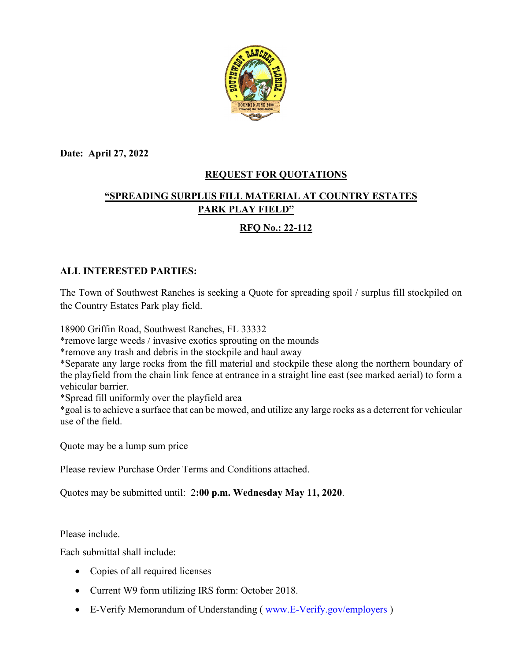

**Date: April 27, 2022**

### **REQUEST FOR QUOTATIONS**

# **"SPREADING SURPLUS FILL MATERIAL AT COUNTRY ESTATES PARK PLAY FIELD"**

## **RFQ No.: 22-112**

### **ALL INTERESTED PARTIES:**

The Town of Southwest Ranches is seeking a Quote for spreading spoil / surplus fill stockpiled on the Country Estates Park play field.

18900 Griffin Road, Southwest Ranches, FL 33332

\*remove large weeds / invasive exotics sprouting on the mounds

\*remove any trash and debris in the stockpile and haul away

\*Separate any large rocks from the fill material and stockpile these along the northern boundary of the playfield from the chain link fence at entrance in a straight line east (see marked aerial) to form a vehicular barrier.

\*Spread fill uniformly over the playfield area

\*goal is to achieve a surface that can be mowed, and utilize any large rocks as a deterrent for vehicular use of the field.

Quote may be a lump sum price

Please review Purchase Order Terms and Conditions attached.

Quotes may be submitted until: 2**:00 p.m. Wednesday May 11, 2020**.

Please include.

Each submittal shall include:

- Copies of all required licenses
- Current W9 form utilizing IRS form: October 2018.
- E-Verify Memorandum of Understanding (www.E-Verify.gov/employers)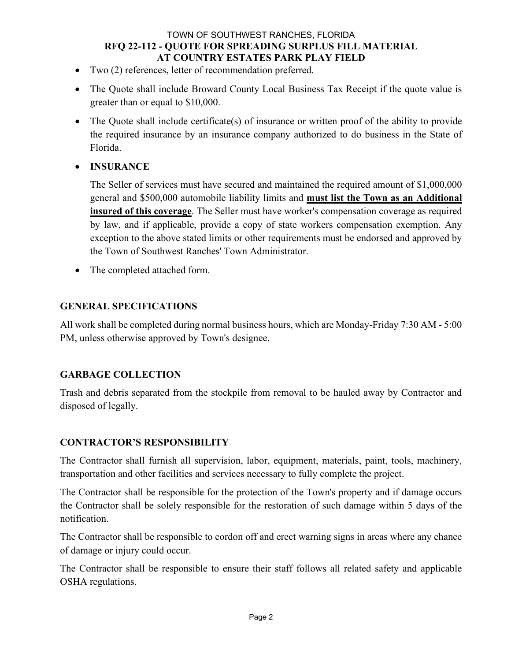#### TOWN OF SOUTHWEST RANCHES, FLORIDA **RFQ 22-112 - QUOTE FOR SPREADING SURPLUS FILL MATERIAL AT COUNTRY ESTATES PARK PLAY FIELD**

- Two (2) references, letter of recommendation preferred.
- The Quote shall include Broward County Local Business Tax Receipt if the quote value is greater than or equal to \$10,000.
- The Quote shall include certificate(s) of insurance or written proof of the ability to provide the required insurance by an insurance company authorized to do business in the State of Florida.
- **INSURANCE**

The Seller of services must have secured and maintained the required amount of \$1,000,000 general and \$500,000 automobile liability limits and **must list the Town as an Additional insured of this coverage**. The Seller must have worker's compensation coverage as required by law, and if applicable, provide a copy of state workers compensation exemption. Any exception to the above stated limits or other requirements must be endorsed and approved by the Town of Southwest Ranches' Town Administrator.

• The completed attached form.

#### **GENERAL SPECIFICATIONS**

All work shall be completed during normal business hours, which are Monday-Friday 7:30 AM - 5:00 PM, unless otherwise approved by Town's designee.

#### **GARBAGE COLLECTION**

Trash and debris separated from the stockpile from removal to be hauled away by Contractor and disposed of legally.

#### **CONTRACTOR'S RESPONSIBILITY**

The Contractor shall furnish all supervision, labor, equipment, materials, paint, tools, machinery, transportation and other facilities and services necessary to fully complete the project.

The Contractor shall be responsible for the protection of the Town's property and if damage occurs the Contractor shall be solely responsible for the restoration of such damage within 5 days of the notification.

The Contractor shall be responsible to cordon off and erect warning signs in areas where any chance of damage or injury could occur.

The Contractor shall be responsible to ensure their staff follows all related safety and applicable OSHA regulations.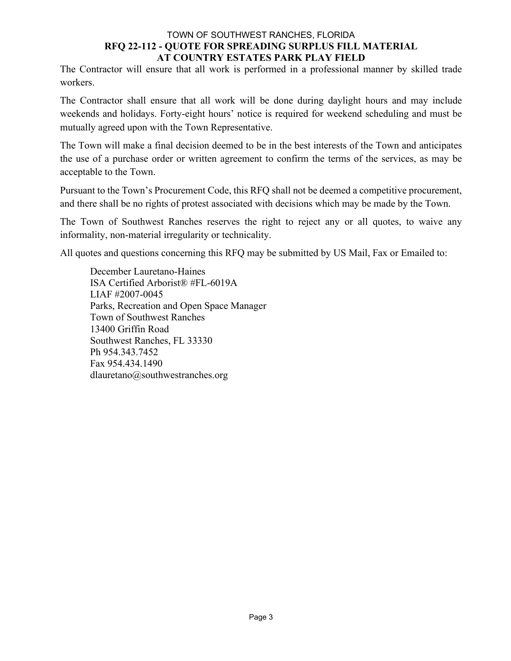#### TOWN OF SOUTHWEST RANCHES, FLORIDA **RFQ 22-112 - QUOTE FOR SPREADING SURPLUS FILL MATERIAL AT COUNTRY ESTATES PARK PLAY FIELD**

The Contractor will ensure that all work is performed in a professional manner by skilled trade workers.

The Contractor shall ensure that all work will be done during daylight hours and may include weekends and holidays. Forty-eight hours' notice is required for weekend scheduling and must be mutually agreed upon with the Town Representative.

The Town will make a final decision deemed to be in the best interests of the Town and anticipates the use of a purchase order or written agreement to confirm the terms of the services, as may be acceptable to the Town.

Pursuant to the Town's Procurement Code, this RFQ shall not be deemed a competitive procurement, and there shall be no rights of protest associated with decisions which may be made by the Town.

The Town of Southwest Ranches reserves the right to reject any or all quotes, to waive any informality, non-material irregularity or technicality.

All quotes and questions concerning this RFQ may be submitted by US Mail, Fax or Emailed to:

December Lauretano-Haines ISA Certified Arborist® #FL-6019A LIAF #2007-0045 Parks, Recreation and Open Space Manager Town of Southwest Ranches 13400 Griffin Road Southwest Ranches, FL 33330 Ph 954.343.7452 Fax 954.434.1490 dlauretano@southwestranches.org